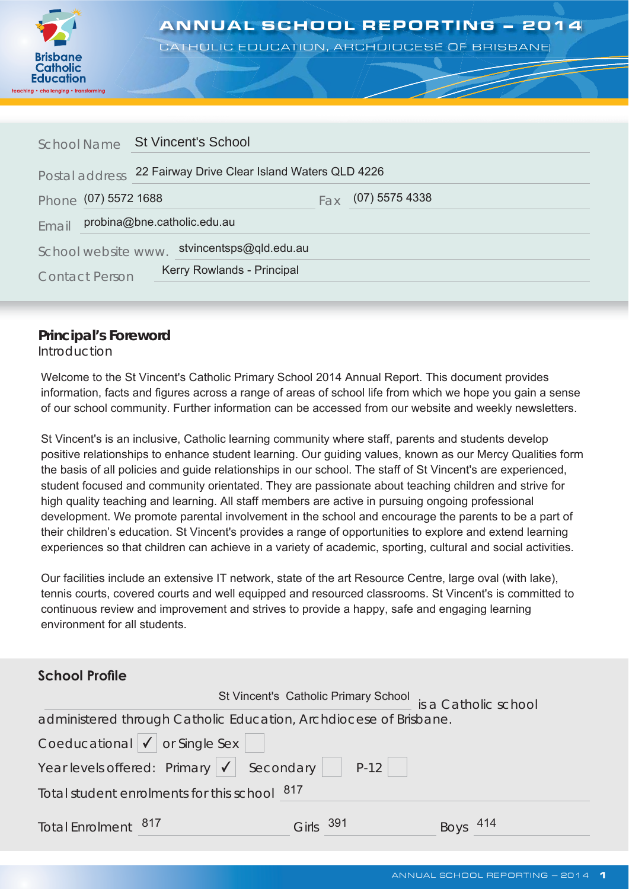

# ANNUAL SCHOOL REPORTING – 2014<br>CATHOLIC EDUCATION, ARCHDIOCESE OF BRISBANE

CATHOLIC EDUCATION, ARCHDIOCESE OF BRISBANE

|       | <b>School Name</b>                                              | <b>St Vincent's School</b>  |  |  |  |
|-------|-----------------------------------------------------------------|-----------------------------|--|--|--|
|       | 22 Fairway Drive Clear Island Waters QLD 4226<br>Postal address |                             |  |  |  |
|       | Phone (07) 5572 1688                                            | $(07)$ 5575 4338<br>Fax     |  |  |  |
| Email |                                                                 | probina@bne.catholic.edu.au |  |  |  |
|       | School website www.                                             | stvincentsps@qld.edu.au     |  |  |  |
|       | <b>Contact Person</b>                                           | Kerry Rowlands - Principal  |  |  |  |

### **Principal's Foreword**

Introduction

Welcome to the St Vincent's Catholic Primary School 2014 Annual Report. This document provides information, facts and figures across a range of areas of school life from which we hope you gain a sense of our school community. Further information can be accessed from our website and weekly newsletters.

St Vincent's is an inclusive, Catholic learning community where staff, parents and students develop positive relationships to enhance student learning. Our guiding values, known as our Mercy Qualities form the basis of all policies and guide relationships in our school. The staff of St Vincent's are experienced, student focused and community orientated. They are passionate about teaching children and strive for high quality teaching and learning. All staff members are active in pursuing ongoing professional development. We promote parental involvement in the school and encourage the parents to be a part of their children's education. St Vincent's provides a range of opportunities to explore and extend learning experiences so that children can achieve in a variety of academic, sporting, cultural and social activities.

Our facilities include an extensive IT network, state of the art Resource Centre, large oval (with lake), tennis courts, covered courts and well equipped and resourced classrooms. St Vincent's is committed to continuous review and improvement and strives to provide a happy, safe and engaging learning environment for all students.

# **School Profile**

|                                                                   |              |  | St Vincent's Catholic Primary School is a Catholic school |
|-------------------------------------------------------------------|--------------|--|-----------------------------------------------------------|
| administered through Catholic Education, Archdiocese of Brisbane. |              |  |                                                           |
| Coeducational $\vert \bigvee \vert$ or Single Sex                 |              |  |                                                           |
| Year levels offered: Primary $\sqrt{\phantom{a}}$ Secondary P-12  |              |  |                                                           |
| Total student enrolments for this school 817                      |              |  |                                                           |
| Total Enrolment 817                                               | 391<br>Girls |  | Boys 414                                                  |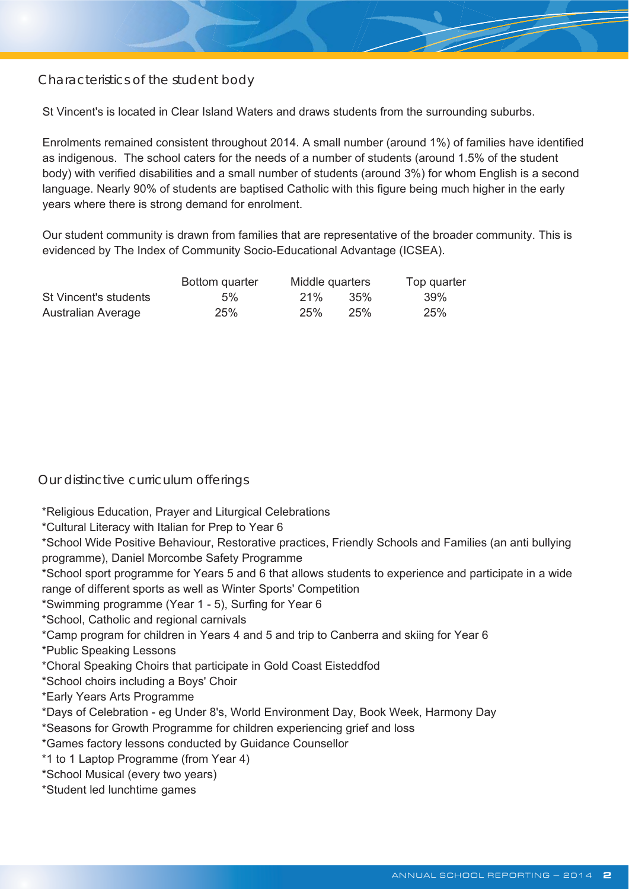Characteristics of the student body

St Vincent's is located in Clear Island Waters and draws students from the surrounding suburbs.

Enrolments remained consistent throughout 2014. A small number (around 1%) of families have identified as indigenous. The school caters for the needs of a number of students (around 1.5% of the student body) with verified disabilities and a small number of students (around 3%) for whom English is a second language. Nearly 90% of students are baptised Catholic with this figure being much higher in the early years where there is strong demand for enrolment.

Our student community is drawn from families that are representative of the broader community. This is evidenced by The Index of Community Socio-Educational Advantage (ICSEA).

|                       | Bottom quarter | Middle quarters |      | Top quarter |
|-----------------------|----------------|-----------------|------|-------------|
| St Vincent's students | $5\%$          | 21%             | .35% | 39%         |
| Australian Average    | 25%            | 25%             | 25%  | 25%         |

Our distinctive curriculum offerings

\*Religious Education, Prayer and Liturgical Celebrations

\*Cultural Literacy with Italian for Prep to Year 6

\*School Wide Positive Behaviour, Restorative practices, Friendly Schools and Families (an anti bullying programme), Daniel Morcombe Safety Programme

\*School sport programme for Years 5 and 6 that allows students to experience and participate in a wide range of different sports as well as Winter Sports' Competition

\*Swimming programme (Year 1 - 5), Surfing for Year 6

\*School, Catholic and regional carnivals

\*Camp program for children in Years 4 and 5 and trip to Canberra and skiing for Year 6

\*Public Speaking Lessons

\*Choral Speaking Choirs that participate in Gold Coast Eisteddfod

\*School choirs including a Boys' Choir

\*Early Years Arts Programme

\*Days of Celebration - eg Under 8's, World Environment Day, Book Week, Harmony Day

\*Seasons for Growth Programme for children experiencing grief and loss

\*Games factory lessons conducted by Guidance Counsellor

\*1 to 1 Laptop Programme (from Year 4)

\*School Musical (every two years)

\*Student led lunchtime games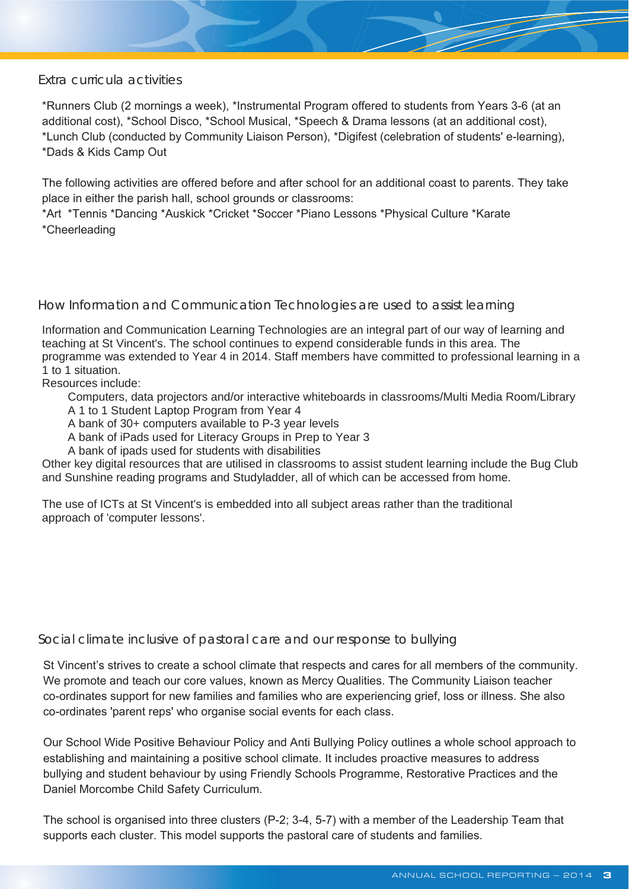#### Extra curricula activities

\*Runners Club (2 mornings a week), \*Instrumental Program offered to students from Years 3-6 (at an additional cost), \*School Disco, \*School Musical, \*Speech & Drama lessons (at an additional cost), \*Lunch Club (conducted by Community Liaison Person), \*Digifest (celebration of students' e-learning), \*Dads & Kids Camp Out

The following activities are offered before and after school for an additional coast to parents. They take place in either the parish hall, school grounds or classrooms:

\*Art \*Tennis \*Dancing \*Auskick \*Cricket \*Soccer \*Piano Lessons \*Physical Culture \*Karate \*Cheerleading

How Information and Communication Technologies are used to assist learning

Information and Communication Learning Technologies are an integral part of our way of learning and teaching at St Vincent's. The school continues to expend considerable funds in this area. The programme was extended to Year 4 in 2014. Staff members have committed to professional learning in a 1 to 1 situation.

Resources include:

Computers, data projectors and/or interactive whiteboards in classrooms/Multi Media Room/Library A 1 to 1 Student Laptop Program from Year 4

A bank of 30+ computers available to P-3 year levels

A bank of iPads used for Literacy Groups in Prep to Year 3

A bank of ipads used for students with disabilities

Other key digital resources that are utilised in classrooms to assist student learning include the Bug Club and Sunshine reading programs and Studyladder, all of which can be accessed from home.

The use of ICTs at St Vincent's is embedded into all subject areas rather than the traditional approach of 'computer lessons'.

Social climate inclusive of pastoral care and our response to bullying

St Vincent's strives to create a school climate that respects and cares for all members of the community. We promote and teach our core values, known as Mercy Qualities. The Community Liaison teacher co-ordinates support for new families and families who are experiencing grief, loss or illness. She also co-ordinates 'parent reps' who organise social events for each class.

Our School Wide Positive Behaviour Policy and Anti Bullying Policy outlines a whole school approach to establishing and maintaining a positive school climate. It includes proactive measures to address bullying and student behaviour by using Friendly Schools Programme, Restorative Practices and the Daniel Morcombe Child Safety Curriculum.

The school is organised into three clusters (P-2; 3-4, 5-7) with a member of the Leadership Team that supports each cluster. This model supports the pastoral care of students and families.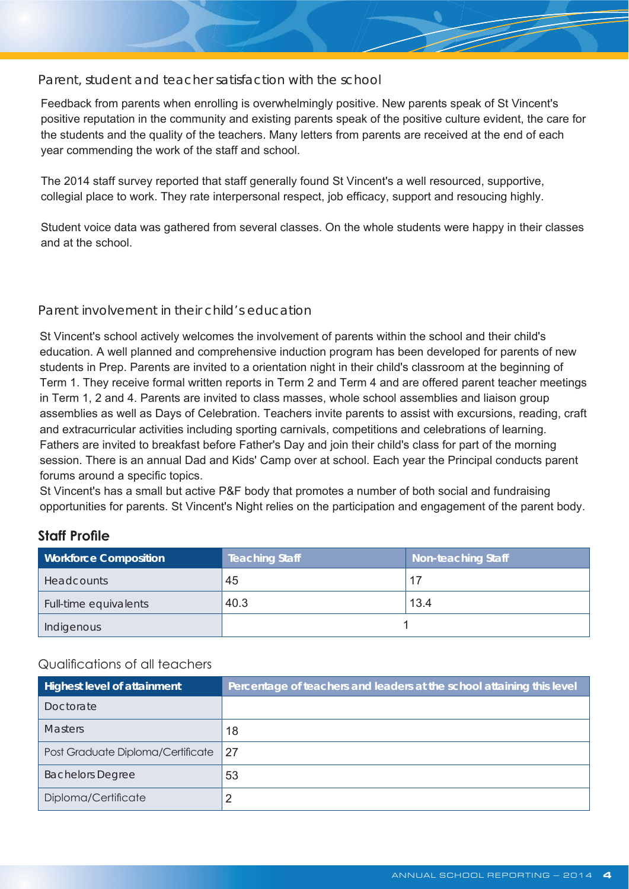#### Parent, student and teacher satisfaction with the school

Feedback from parents when enrolling is overwhelmingly positive. New parents speak of St Vincent's positive reputation in the community and existing parents speak of the positive culture evident, the care for the students and the quality of the teachers. Many letters from parents are received at the end of each year commending the work of the staff and school.

The 2014 staff survey reported that staff generally found St Vincent's a well resourced, supportive, collegial place to work. They rate interpersonal respect, job efficacy, support and resoucing highly.

Student voice data was gathered from several classes. On the whole students were happy in their classes and at the school.

#### Parent involvement in their child's education

St Vincent's school actively welcomes the involvement of parents within the school and their child's education. A well planned and comprehensive induction program has been developed for parents of new students in Prep. Parents are invited to a orientation night in their child's classroom at the beginning of Term 1. They receive formal written reports in Term 2 and Term 4 and are offered parent teacher meetings in Term 1, 2 and 4. Parents are invited to class masses, whole school assemblies and liaison group assemblies as well as Days of Celebration. Teachers invite parents to assist with excursions, reading, craft and extracurricular activities including sporting carnivals, competitions and celebrations of learning. Fathers are invited to breakfast before Father's Day and join their child's class for part of the morning session. There is an annual Dad and Kids' Camp over at school. Each year the Principal conducts parent forums around a specific topics.

St Vincent's has a small but active P&F body that promotes a number of both social and fundraising opportunities for parents. St Vincent's Night relies on the participation and engagement of the parent body.

### **Staff Profile**

| <b>Workforce Composition</b> | Teaching Staff | <b>Non-teaching Staff</b> |
|------------------------------|----------------|---------------------------|
| <b>Headcounts</b>            | 45             | 17                        |
| Full-time equivalents        | 40.3           | 13.4                      |
| Indigenous                   |                |                           |

#### Qualifications of all teachers

| <b>Highest level of attainment</b> | Percentage of teachers and leaders at the school attaining this level |
|------------------------------------|-----------------------------------------------------------------------|
| Doctorate                          |                                                                       |
| <b>Masters</b>                     | 18                                                                    |
| Post Graduate Diploma/Certificate  | 27                                                                    |
| <b>Bachelors Degree</b>            | 53                                                                    |
| Diploma/Certificate                |                                                                       |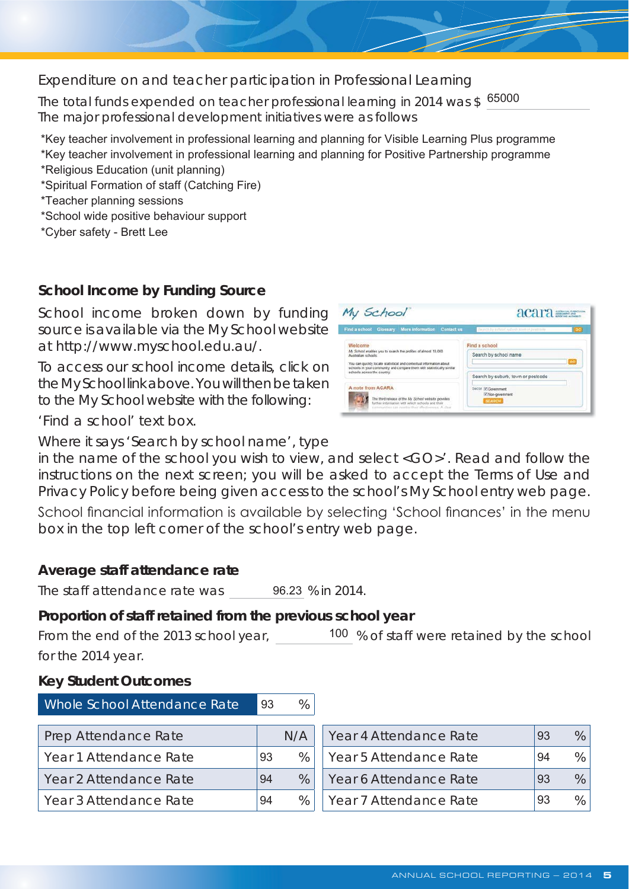Expenditure on and teacher participation in Professional Learning

The total funds expended on teacher professional learning in 2014 was \$165000<br>The major professional development initiatives were as follows

\*Key teacher involvement in professional learning and planning for Visible Learning Plus programme \*Key teacher involvement in professional learning and planning for Positive Partnership programme \*Religious Education (unit planning)

\*Spiritual Formation of staff (Catching Fire)

\*Teacher planning sessions

\*School wide positive behaviour support

\*Cyber safety - Brett Lee

# **School Income by Funding Source**

School income broken down by funding source is available via the My School website at http://www.myschool.edu.au/.

To access our school income details, click on the My School link above. You will then be taken to the My School website with the following:



'Find a school' text box.

Where it says 'Search by school name', type

in the name of the school you wish to view, and select <GO>'. Read and follow the instructions on the next screen; you will be asked to accept the Terms of Use and Privacy Policy before being given access to the school's My School entry web page.

School financial information is available by selecting 'School finances' in the menu box in the top left corner of the school's entry web page.

### **Average staff attendance rate**

The staff attendance rate was 96.23 % in 2014.

# **Proportion of staff retained from the previous school year**

From the end of the 2013 school year,  $100\%$  of staff were retained by the school for the 2014 year.

### **Key Student Outcomes**

| Whole School Attendance Rate<br>93 |    | %    |                        |    |   |
|------------------------------------|----|------|------------------------|----|---|
| Prep Attendance Rate               |    | N/A  | Year 4 Attendance Rate | 93 | % |
| Year 1 Attendance Rate             | 93 | $\%$ | Year 5 Attendance Rate | 94 | % |
| Year 2 Attendance Rate             |    | $\%$ | Year 6 Attendance Rate | 93 | % |
| Year 3 Attendance Rate             | 94 | $\%$ | Year 7 Attendance Rate | 93 | % |